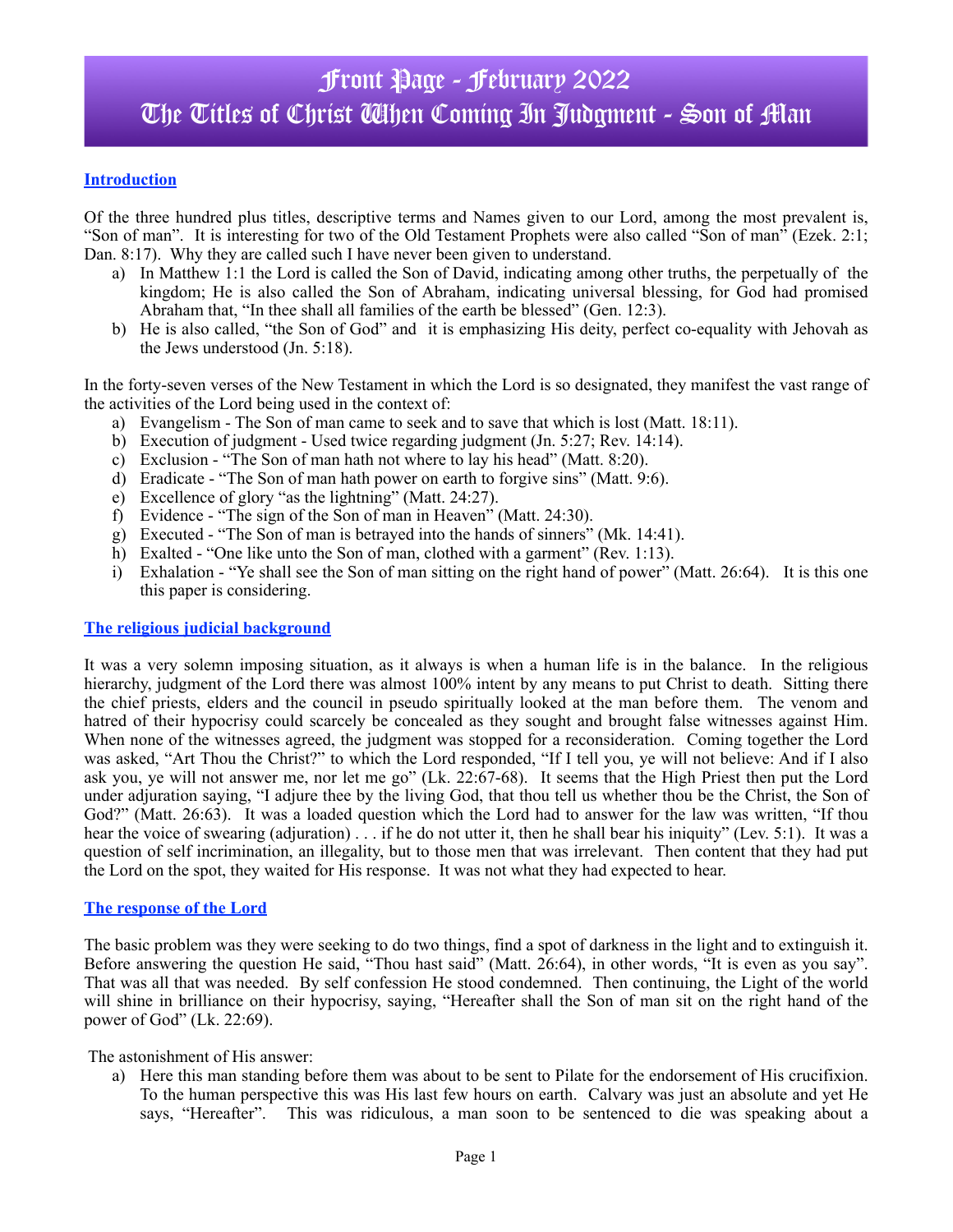## Front Page - February 2022 The Titles of Christ When Coming In Judgment - Son of Man

## **Introduction**

Of the three hundred plus titles, descriptive terms and Names given to our Lord, among the most prevalent is, "Son of man". It is interesting for two of the Old Testament Prophets were also called "Son of man" (Ezek. 2:1; Dan. 8:17). Why they are called such I have never been given to understand.

- a) In Matthew 1:1 the Lord is called the Son of David, indicating among other truths, the perpetually of the kingdom; He is also called the Son of Abraham, indicating universal blessing, for God had promised Abraham that, "In thee shall all families of the earth be blessed" (Gen. 12:3).
- b) He is also called, "the Son of God" and it is emphasizing His deity, perfect co-equality with Jehovah as the Jews understood (Jn. 5:18).

In the forty-seven verses of the New Testament in which the Lord is so designated, they manifest the vast range of the activities of the Lord being used in the context of:

- a) Evangelism The Son of man came to seek and to save that which is lost (Matt. 18:11).
- b) Execution of judgment Used twice regarding judgment (Jn. 5:27; Rev. 14:14).
- c) Exclusion "The Son of man hath not where to lay his head" (Matt. 8:20).
- d) Eradicate "The Son of man hath power on earth to forgive sins" (Matt. 9:6).
- e) Excellence of glory "as the lightning" (Matt. 24:27).
- f) Evidence "The sign of the Son of man in Heaven" (Matt. 24:30).
- g) Executed "The Son of man is betrayed into the hands of sinners" (Mk. 14:41).
- h) Exalted "One like unto the Son of man, clothed with a garment" (Rev. 1:13).
- i) Exhalation "Ye shall see the Son of man sitting on the right hand of power" (Matt. 26:64). It is this one this paper is considering.

## **The religious judicial background**

It was a very solemn imposing situation, as it always is when a human life is in the balance. In the religious hierarchy, judgment of the Lord there was almost 100% intent by any means to put Christ to death. Sitting there the chief priests, elders and the council in pseudo spiritually looked at the man before them. The venom and hatred of their hypocrisy could scarcely be concealed as they sought and brought false witnesses against Him. When none of the witnesses agreed, the judgment was stopped for a reconsideration. Coming together the Lord was asked, "Art Thou the Christ?" to which the Lord responded, "If I tell you, ye will not believe: And if I also ask you, ye will not answer me, nor let me go" (Lk. 22:67-68). It seems that the High Priest then put the Lord under adjuration saying, "I adjure thee by the living God, that thou tell us whether thou be the Christ, the Son of God?" (Matt. 26:63). It was a loaded question which the Lord had to answer for the law was written, "If thou hear the voice of swearing (adjuration) . . . if he do not utter it, then he shall bear his iniquity" (Lev. 5:1). It was a question of self incrimination, an illegality, but to those men that was irrelevant. Then content that they had put the Lord on the spot, they waited for His response. It was not what they had expected to hear.

## **The response of the Lord**

The basic problem was they were seeking to do two things, find a spot of darkness in the light and to extinguish it. Before answering the question He said, "Thou hast said" (Matt. 26:64), in other words, "It is even as you say". That was all that was needed. By self confession He stood condemned. Then continuing, the Light of the world will shine in brilliance on their hypocrisy, saying, "Hereafter shall the Son of man sit on the right hand of the power of God" (Lk. 22:69).

The astonishment of His answer:

a) Here this man standing before them was about to be sent to Pilate for the endorsement of His crucifixion. To the human perspective this was His last few hours on earth. Calvary was just an absolute and yet He says, "Hereafter". This was ridiculous, a man soon to be sentenced to die was speaking about a